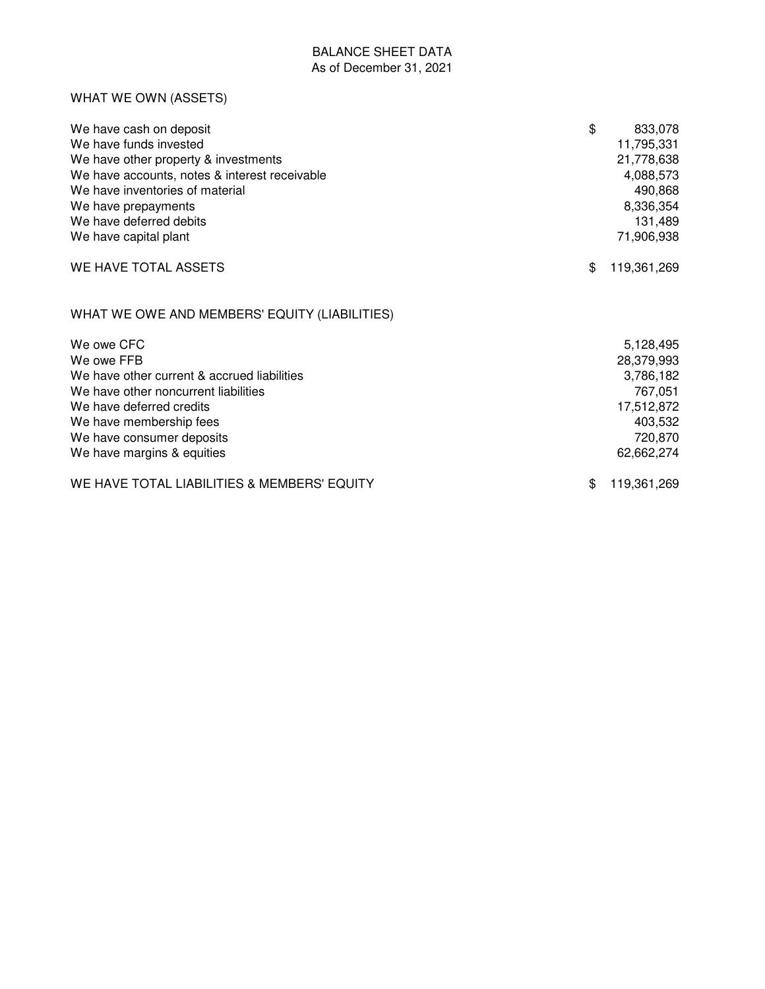## BALANCE SHEET DATA As of December 31, 2021

## WHAT WE OWN (ASSETS)

| We have cash on deposit<br>We have funds invested<br>We have other property & investments<br>We have accounts, notes & interest receivable<br>We have inventories of material<br>We have prepayments<br>We have deferred debits<br>We have capital plant | \$<br>833,078<br>11,795,331<br>21,778,638<br>4,088,573<br>490,868<br>8,336,354<br>131,489<br>71,906,938 |
|----------------------------------------------------------------------------------------------------------------------------------------------------------------------------------------------------------------------------------------------------------|---------------------------------------------------------------------------------------------------------|
| WE HAVE TOTAL ASSETS                                                                                                                                                                                                                                     | \$<br>119,361,269                                                                                       |
| WHAT WE OWE AND MEMBERS' EQUITY (LIABILITIES)                                                                                                                                                                                                            |                                                                                                         |
| We owe CFC<br>We owe FFB<br>We have other current & accrued liabilities<br>We have other noncurrent liabilities<br>We have deferred credits<br>We have membership fees<br>We have consumer deposits<br>We have margins & equities                        | 5,128,495<br>28,379,993<br>3,786,182<br>767,051<br>17,512,872<br>403,532<br>720,870<br>62,662,274       |
| WE HAVE TOTAL LIABILITIES & MEMBERS' EQUITY                                                                                                                                                                                                              | \$<br>119,361,269                                                                                       |